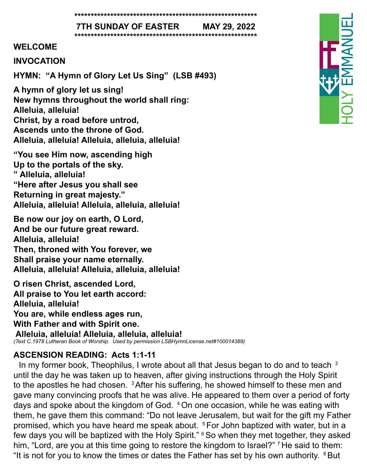**7TH SUNDAY OF EASTER MAY 29, 2022 \*\*\*\*\*\*\*\*\*\*\*\*\*\*\*\*\*\*\*\*\*\*\*\*\*\*\*\*\*\*\*\*\*\*\*\*\*\*\*\*\*\*\*\*\*\*\*\*\*\*\*\*\*\*\*\***

#### **WELCOME**

#### **INVOCATION**

**HYMN: "A Hymn of Glory Let Us Sing" (LSB #493)**

**A hymn of glory let us sing! New hymns throughout the world shall ring: Alleluia, alleluia! Christ, by a road before untrod, Ascends unto the throne of God. Alleluia, alleluia! Alleluia, alleluia, alleluia!**

**"You see Him now, ascending high Up to the portals of the sky. " Alleluia, alleluia! "Here after Jesus you shall see Returning in great majesty." Alleluia, alleluia! Alleluia, alleluia, alleluia!**

**Be now our joy on earth, O Lord, And be our future great reward. Alleluia, alleluia! Then, throned with You forever, we Shall praise your name eternally. Alleluia, alleluia! Alleluia, alleluia, alleluia!**

**O risen Christ, ascended Lord, All praise to You let earth accord: Alleluia, alleluia! You are, while endless ages run, With Father and with Spirit one. Alleluia, alleluia! Alleluia, alleluia, alleluia!**

*(Text C.1978 Lutheran Book of Worship. Used by permission LSBHymnLicense.net#100014389)*

## **ASCENSION READING: Acts 1:1-11**

In my former book, Theophilus, I wrote about all that Jesus began to do and to teach <sup>2</sup> until the day he was taken up to heaven, after giving instructions through the Holy Spirit to the apostles he had chosen. <sup>3</sup> After his suffering, he showed himself to these men and gave many convincing proofs that he was alive. He appeared to them over a period of forty days and spoke about the kingdom of God. <sup>4</sup> On one occasion, while he was eating with them, he gave them this command: "Do not leave Jerusalem, but wait for the gift my Father promised, which you have heard me speak about. <sup>5</sup> For John baptized with water, but in a few days you will be baptized with the Holy Spirit." 6 So when they met together, they asked him, "Lord, are you at this time going to restore the kingdom to Israel?" <sup>7</sup> He said to them: "It is not for you to know the times or dates the Father has set by his own authority. <sup>8</sup> But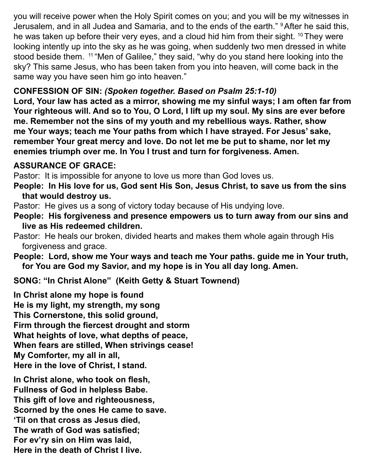you will receive power when the Holy Spirit comes on you; and you will be my witnesses in Jerusalem, and in all Judea and Samaria, and to the ends of the earth." <sup>9</sup> After he said this, he was taken up before their very eyes, and a cloud hid him from their sight. <sup>10</sup> They were looking intently up into the sky as he was going, when suddenly two men dressed in white stood beside them. 11 "Men of Galilee," they said, "why do you stand here looking into the sky? This same Jesus, who has been taken from you into heaven, will come back in the same way you have seen him go into heaven."

# **CONFESSION OF SIN:** *(Spoken together. Based on Psalm 25:1-10)*

**Lord, Your law has acted as a mirror, showing me my sinful ways; I am often far from Your righteous will. And so to You, O Lord, I lift up my soul. My sins are ever before me. Remember not the sins of my youth and my rebellious ways. Rather, show me Your ways; teach me Your paths from which I have strayed. For Jesus' sake, remember Your great mercy and love. Do not let me be put to shame, nor let my enemies triumph over me. In You I trust and turn for forgiveness. Amen.** 

#### **ASSURANCE OF GRACE:**

Pastor: It is impossible for anyone to love us more than God loves us.

**People: In His love for us, God sent His Son, Jesus Christ, to save us from the sins that would destroy us.**

Pastor: He gives us a song of victory today because of His undying love.

- **People: His forgiveness and presence empowers us to turn away from our sins and live as His redeemed children.**
- Pastor: He heals our broken, divided hearts and makes them whole again through His forgiveness and grace.
- **People: Lord, show me Your ways and teach me Your paths. guide me in Your truth, for You are God my Savior, and my hope is in You all day long. Amen.**

## **SONG: "In Christ Alone" (Keith Getty & Stuart Townend)**

**In Christ alone my hope is found He is my light, my strength, my song This Cornerstone, this solid ground, Firm through the fiercest drought and storm What heights of love, what depths of peace, When fears are stilled, When strivings cease! My Comforter, my all in all, Here in the love of Christ, I stand.**

**In Christ alone, who took on flesh, Fullness of God in helpless Babe. This gift of love and righteousness, Scorned by the ones He came to save. 'Til on that cross as Jesus died, The wrath of God was satisfied; For ev'ry sin on Him was laid, Here in the death of Christ I live.**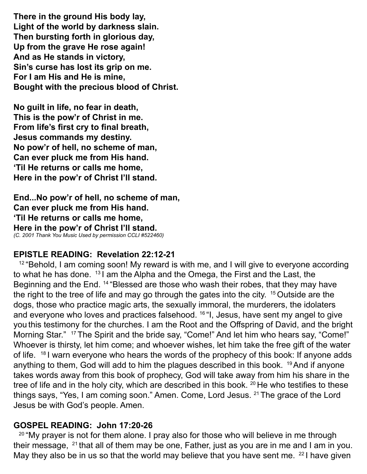**There in the ground His body lay, Light of the world by darkness slain. Then bursting forth in glorious day, Up from the grave He rose again! And as He stands in victory, Sin's curse has lost its grip on me. For I am His and He is mine, Bought with the precious blood of Christ.**

**No guilt in life, no fear in death, This is the pow'r of Christ in me. From life's first cry to final breath, Jesus commands my destiny. No pow'r of hell, no scheme of man, Can ever pluck me from His hand. 'Til He returns or calls me home, Here in the pow'r of Christ I'll stand.**

**End...No pow'r of hell, no scheme of man, Can ever pluck me from His hand. 'Til He returns or calls me home, Here in the pow'r of Christ I'll stand.** *(C. 2001 Thank You Music Used by permission CCLI #522460)*

#### **EPISTLE READING: Revelation 22:12-21**

<sup>12</sup> "Behold, I am coming soon! My reward is with me, and I will give to everyone according to what he has done. <sup>13</sup> I am the Alpha and the Omega, the First and the Last, the Beginning and the End. 14 "Blessed are those who wash their robes, that they may have the right to the tree of life and may go through the gates into the city.  $15$  Outside are the dogs, those who practice magic arts, the sexually immoral, the murderers, the idolaters and everyone who loves and practices falsehood. <sup>16</sup> "I, Jesus, have sent my angel to give you this testimony for the churches. I am the Root and the Offspring of David, and the bright Morning Star." <sup>17</sup> The Spirit and the bride say, "Come!" And let him who hears say, "Come!" Whoever is thirsty, let him come; and whoever wishes, let him take the free gift of the water of life. <sup>18</sup> I warn everyone who hears the words of the prophecy of this book: If anyone adds anything to them, God will add to him the plagues described in this book. 19 And if anyone takes words away from this book of prophecy, God will take away from him his share in the tree of life and in the holy city, which are described in this book.  $20$  He who testifies to these things says, "Yes, I am coming soon." Amen. Come, Lord Jesus. 21 The grace of the Lord Jesus be with God's people. Amen.

#### **GOSPEL READING: John 17:20-26**

<sup>20</sup> "My prayer is not for them alone. I pray also for those who will believe in me through their message,  $^{21}$  that all of them may be one, Father, just as you are in me and I am in you. May they also be in us so that the world may believe that you have sent me. <sup>22</sup> I have given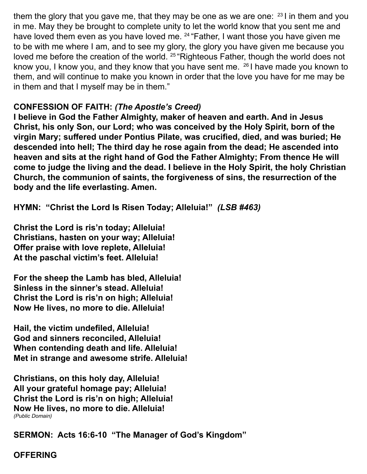them the glory that you gave me, that they may be one as we are one:  $23$  I in them and you in me. May they be brought to complete unity to let the world know that you sent me and have loved them even as you have loved me. <sup>24</sup> "Father, I want those you have given me to be with me where I am, and to see my glory, the glory you have given me because you loved me before the creation of the world. <sup>25</sup> "Righteous Father, though the world does not know you, I know you, and they know that you have sent me. 26 I have made you known to them, and will continue to make you known in order that the love you have for me may be in them and that I myself may be in them."

#### **CONFESSION OF FAITH:** *(The Apostle's Creed)*

**I believe in God the Father Almighty, maker of heaven and earth. And in Jesus Christ, his only Son, our Lord; who was conceived by the Holy Spirit, born of the virgin Mary; suffered under Pontius Pilate, was crucified, died, and was buried; He descended into hell; The third day he rose again from the dead; He ascended into heaven and sits at the right hand of God the Father Almighty; From thence He will come to judge the living and the dead. I believe in the Holy Spirit, the holy Christian Church, the communion of saints, the forgiveness of sins, the resurrection of the body and the life everlasting. Amen.** 

**HYMN: "Christ the Lord Is Risen Today; Alleluia!"** *(LSB #463)*

**Christ the Lord is ris'n today; Alleluia! Christians, hasten on your way; Alleluia! Offer praise with love replete, Alleluia! At the paschal victim's feet. Alleluia!**

**For the sheep the Lamb has bled, Alleluia! Sinless in the sinner's stead. Alleluia! Christ the Lord is ris'n on high; Alleluia! Now He lives, no more to die. Alleluia!**

**Hail, the victim undefiled, Alleluia! God and sinners reconciled, Alleluia! When contending death and life. Alleluia! Met in strange and awesome strife. Alleluia!**

**Christians, on this holy day, Alleluia! All your grateful homage pay; Alleluia! Christ the Lord is ris'n on high; Alleluia! Now He lives, no more to die. Alleluia!** *(Public Domain)*

**SERMON: Acts 16:6-10 "The Manager of God's Kingdom"**

#### **OFFERING**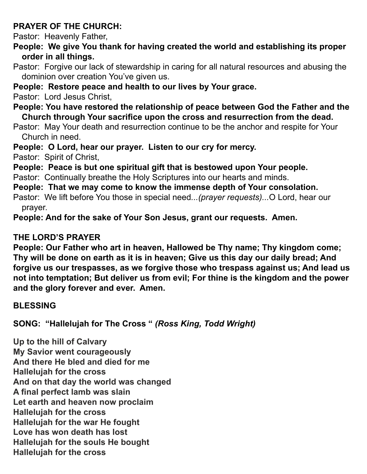#### **PRAYER OF THE CHURCH:**

Pastor: Heavenly Father,

**People: We give You thank for having created the world and establishing its proper order in all things.**

- Pastor: Forgive our lack of stewardship in caring for all natural resources and abusing the dominion over creation You've given us.
- **People: Restore peace and health to our lives by Your grace.**

Pastor: Lord Jesus Christ,

- **People: You have restored the relationship of peace between God the Father and the Church through Your sacrifice upon the cross and resurrection from the dead.**
- Pastor: May Your death and resurrection continue to be the anchor and respite for Your Church in need.

**People: O Lord, hear our prayer. Listen to our cry for mercy.**

Pastor: Spirit of Christ,

**People: Peace is but one spiritual gift that is bestowed upon Your people.**

Pastor: Continually breathe the Holy Scriptures into our hearts and minds.

- **People: That we may come to know the immense depth of Your consolation.**
- Pastor: We lift before You those in special need*...(prayer requests)...*O Lord, hear our prayer.

**People: And for the sake of Your Son Jesus, grant our requests. Amen.** 

## **THE LORD'S PRAYER**

**People: Our Father who art in heaven, Hallowed be Thy name; Thy kingdom come; Thy will be done on earth as it is in heaven; Give us this day our daily bread; And forgive us our trespasses, as we forgive those who trespass against us; And lead us not into temptation; But deliver us from evil; For thine is the kingdom and the power and the glory forever and ever. Amen.** 

#### **BLESSING**

**SONG: "Hallelujah for The Cross "** *(Ross King, Todd Wright)*

**Up to the hill of Calvary My Savior went courageously And there He bled and died for me Hallelujah for the cross And on that day the world was changed A final perfect lamb was slain Let earth and heaven now proclaim Hallelujah for the cross Hallelujah for the war He fought Love has won death has lost Hallelujah for the souls He bought Hallelujah for the cross**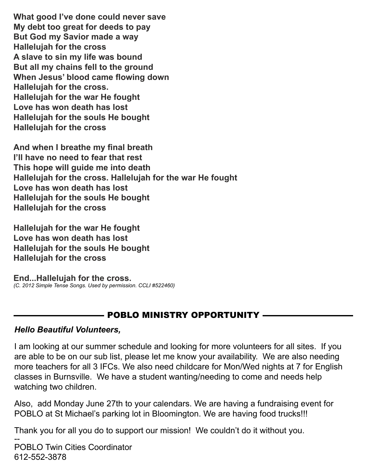**What good I've done could never save My debt too great for deeds to pay But God my Savior made a way Hallelujah for the cross A slave to sin my life was bound But all my chains fell to the ground When Jesus' blood came flowing down Hallelujah for the cross. Hallelujah for the war He fought Love has won death has lost Hallelujah for the souls He bought Hallelujah for the cross**

**And when I breathe my final breath I'll have no need to fear that rest This hope will guide me into death Hallelujah for the cross. Hallelujah for the war He fought Love has won death has lost Hallelujah for the souls He bought Hallelujah for the cross**

**Hallelujah for the war He fought Love has won death has lost Hallelujah for the souls He bought Hallelujah for the cross**

**End...Hallelujah for the cross.** *(C. 2012 Simple Tense Songs. Used by permission. CCLI #522460)*

#### - POBLO MINISTRY OPPORTUNITY -

#### *Hello Beautiful Volunteers,*

I am looking at our summer schedule and looking for more volunteers for all sites. If you are able to be on our sub list, please let me know your availability. We are also needing more teachers for all 3 IFCs. We also need childcare for Mon/Wed nights at 7 for English classes in Burnsville. We have a student wanting/needing to come and needs help watching two children.

Also, add Monday June 27th to your calendars. We are having a fundraising event for POBLO at St Michael's parking lot in Bloomington. We are having food trucks!!!

Thank you for all you do to support our mission! We couldn't do it without you. -- POBLO Twin Cities Coordinator

612-552-3878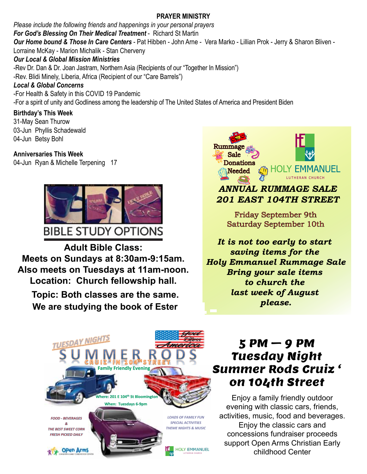#### **PRAYER MINISTRY**

*Please include the following friends and happenings in your personal prayers*

*For God's Blessing On Their Medical Treatment* - Richard St Martin

*Our Home bound & Those In Care Centers* - Pat Hibben - John Arne - Vera Marko - Lillian Prok - Jerry & Sharon Bliven - Lorraine McKay - Marion Michalik - Stan Cherveny

#### *Our Local & Global Mission Ministries*

-Rev Dr. Dan & Dr. Joan Jastram, Northern Asia (Recipients of our "Together In Mission")

-Rev. Blidi Minely, Liberia, Africa (Recipient of our "Care Barrels")

#### *Local & Global Concerns*

-For Health & Safety in this COVID 19 Pandemic -For a spirit of unity and Godliness among the leadership of The United States of America and President Biden

#### **Birthday's This Week**

31-May Sean Thurow 03-Jun Phyllis Schadewald 04-Jun Betsy Bohl

#### **Anniversaries This Week**

04-Jun Ryan & Michelle Terpening 17



**Adult Bible Class: Meets on Sundays at 8:30am-9:15am. Also meets on Tuesdays at 11am-noon. Location: Church fellowship hall. Location: Church fellowship hall. Also meets on Tuesdays at 11am-noon. Also meets on Tuesdays at 11am-noon. Adult Bible Class:** w m<del>eets on Tuesuays at Fiam-noon.</del><br>Leestiese Obusek fellewekis hell **Ales meets Meets on Sundays at 8:30am-9:15am.** 

**Example 18 You be used** the book of Ester the studying the book of Ester the studying the book of Ester the study



# *ANNUAL RUMMAGE SALE 201 EAST 104TH STREET*

Friday September 9th Saturday September 10th

*It is not too early to start*  **Adving items for the** *Holy Emmanuel Rummage Sale* **Meets on Sundays at 8:30am-9:15am. Bring your sale items Bring your sale items** *to church the last week of August please.* Topic: Both classes are the same. Moreon that week of August

# $5 PM - 9 PM$ Tuesday Night Summer Rods Cruiz ' on 104th Street

Enjoy a family friendly outdoor evening with classic cars, friends, activities, music, food and beverages. Enjoy the classic cars and Enjoy the classic cars and<br>
THEME NIGHTS & MUSIC<br> **CONCESSIONS** fundraiser proceeds childhood Center